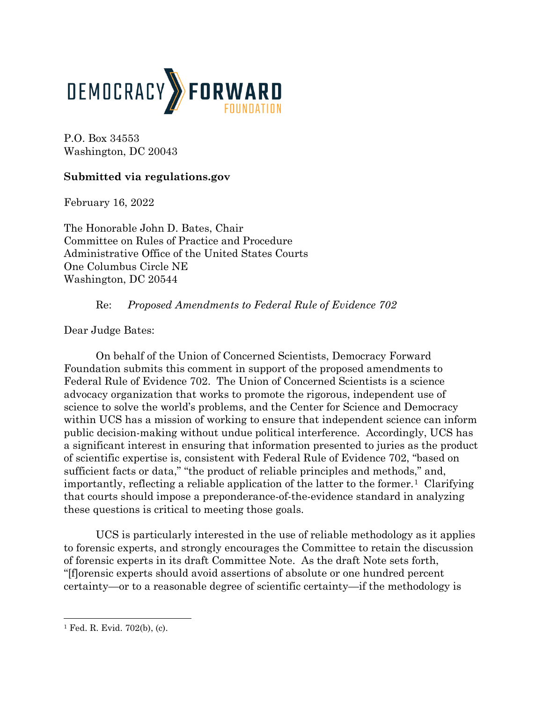

P.O. Box 34553 Washington, DC 20043

## **Submitted via regulations.gov**

February 16, 2022

The Honorable John D. Bates, Chair Committee on Rules of Practice and Procedure Administrative Office of the United States Courts One Columbus Circle NE Washington, DC 20544

## Re: *Proposed Amendments to Federal Rule of Evidence 702*

Dear Judge Bates:

On behalf of the Union of Concerned Scientists, Democracy Forward Foundation submits this comment in support of the proposed amendments to Federal Rule of Evidence 702. The Union of Concerned Scientists is a science advocacy organization that works to promote the rigorous, independent use of science to solve the world's problems, and the Center for Science and Democracy within UCS has a mission of working to ensure that independent science can inform public decision-making without undue political interference. Accordingly, UCS has a significant interest in ensuring that information presented to juries as the product of scientific expertise is, consistent with Federal Rule of Evidence 702, "based on sufficient facts or data," "the product of reliable principles and methods," and, importantly, reflecting a reliable application of the latter to the former.<sup>1</sup> Clarifying that courts should impose a preponderance-of-the-evidence standard in analyzing these questions is critical to meeting those goals.

UCS is particularly interested in the use of reliable methodology as it applies to forensic experts, and strongly encourages the Committee to retain the discussion of forensic experts in its draft Committee Note. As the draft Note sets forth, "[f]orensic experts should avoid assertions of absolute or one hundred percent certainty—or to a reasonable degree of scientific certainty—if the methodology is

<span id="page-0-0"></span><sup>1</sup> Fed. R. Evid. 702(b), (c).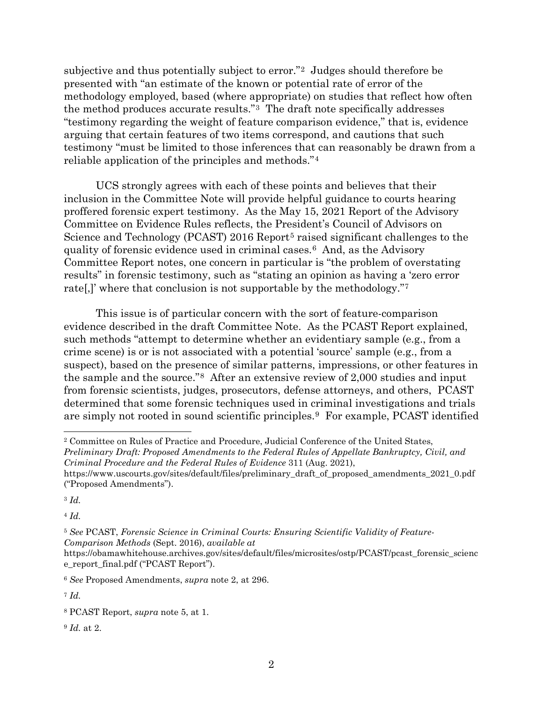subjective and thus potentially subject to error."[2](#page-1-0) Judges should therefore be presented with "an estimate of the known or potential rate of error of the methodology employed, based (where appropriate) on studies that reflect how often the method produces accurate results."[3](#page-1-1) The draft note specifically addresses "testimony regarding the weight of feature comparison evidence," that is, evidence arguing that certain features of two items correspond, and cautions that such testimony "must be limited to those inferences that can reasonably be drawn from a reliable application of the principles and methods."[4](#page-1-2)

UCS strongly agrees with each of these points and believes that their inclusion in the Committee Note will provide helpful guidance to courts hearing proffered forensic expert testimony. As the May 15, 2021 Report of the Advisory Committee on Evidence Rules reflects, the President's Council of Advisors on Science and Technology (PCAST) 2016 Report<sup>[5](#page-1-3)</sup> raised significant challenges to the quality of forensic evidence used in criminal cases.[6](#page-1-4) And, as the Advisory Committee Report notes, one concern in particular is "the problem of overstating results" in forensic testimony, such as "stating an opinion as having a 'zero error rate[,]' where that conclusion is not supportable by the methodology.["7](#page-1-5)

This issue is of particular concern with the sort of feature-comparison evidence described in the draft Committee Note. As the PCAST Report explained, such methods "attempt to determine whether an evidentiary sample (e.g., from a crime scene) is or is not associated with a potential 'source' sample (e.g., from a suspect), based on the presence of similar patterns, impressions, or other features in the sample and the source."[8](#page-1-6) After an extensive review of 2,000 studies and input from forensic scientists, judges, prosecutors, defense attorneys, and others, PCAST determined that some forensic techniques used in criminal investigations and trials are simply not rooted in sound scientific principles.[9](#page-1-7) For example, PCAST identified

<span id="page-1-1"></span><sup>3</sup> *Id.*

<span id="page-1-2"></span><sup>4</sup> *Id.*

<span id="page-1-3"></span><sup>5</sup> *See* PCAST, *Forensic Science in Criminal Courts: Ensuring Scientific Validity of Feature-Comparison Methods* (Sept. 2016), *available at*

<span id="page-1-7"></span><sup>9</sup> *Id.* at 2.

<span id="page-1-0"></span><sup>2</sup> Committee on Rules of Practice and Procedure, Judicial Conference of the United States, *Preliminary Draft: Proposed Amendments to the Federal Rules of Appellate Bankruptcy, Civil, and Criminal Procedure and the Federal Rules of Evidence* 311 (Aug. 2021),

https://www.uscourts.gov/sites/default/files/preliminary draft of proposed amendments 2021 0.pdf ("Proposed Amendments").

https://obamawhitehouse.archives.gov/sites/default/files/microsites/ostp/PCAST/pcast\_forensic\_scienc e\_report\_final.pdf ("PCAST Report").

<span id="page-1-4"></span><sup>6</sup> *See* Proposed Amendments, *supra* note 2, at 296.

<span id="page-1-5"></span><sup>7</sup> *Id.*

<span id="page-1-6"></span><sup>8</sup> PCAST Report, *supra* note 5, at 1.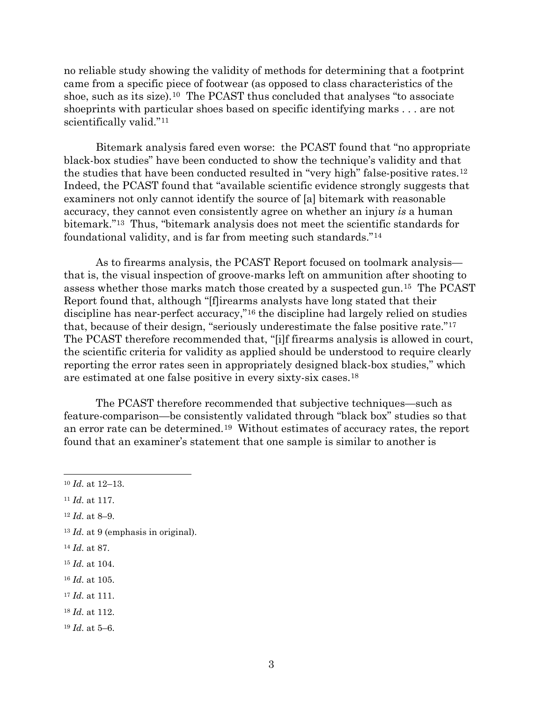no reliable study showing the validity of methods for determining that a footprint came from a specific piece of footwear (as opposed to class characteristics of the shoe, such as its size).<sup>[10](#page-2-0)</sup> The PCAST thus concluded that analyses "to associate" shoeprints with particular shoes based on specific identifying marks . . . are not scientifically valid."<sup>11</sup>

Bitemark analysis fared even worse: the PCAST found that "no appropriate black-box studies" have been conducted to show the technique's validity and that the studies that have been conducted resulted in "very high" false-positive rates.[12](#page-2-2) Indeed, the PCAST found that "available scientific evidence strongly suggests that examiners not only cannot identify the source of [a] bitemark with reasonable accuracy, they cannot even consistently agree on whether an injury *is* a human bitemark.["13](#page-2-3) Thus, "bitemark analysis does not meet the scientific standards for foundational validity, and is far from meeting such standards."[14](#page-2-4) 

As to firearms analysis, the PCAST Report focused on toolmark analysis that is, the visual inspection of groove-marks left on ammunition after shooting to assess whether those marks match those created by a suspected gun.[15](#page-2-5) The PCAST Report found that, although "[f]irearms analysts have long stated that their discipline has near-perfect accuracy,"[16](#page-2-6) the discipline had largely relied on studies that, because of their design, "seriously underestimate the false positive rate."[17](#page-2-7)  The PCAST therefore recommended that, "[i]f firearms analysis is allowed in court, the scientific criteria for validity as applied should be understood to require clearly reporting the error rates seen in appropriately designed black-box studies," which are estimated at one false positive in every sixty-six cases.[18](#page-2-8) 

The PCAST therefore recommended that subjective techniques—such as feature-comparison—be consistently validated through "black box" studies so that an error rate can be determined.[19](#page-2-9) Without estimates of accuracy rates, the report found that an examiner's statement that one sample is similar to another is

- <span id="page-2-7"></span><sup>17</sup> *Id.* at 111.
- <span id="page-2-8"></span><sup>18</sup> *Id.* at 112.

<span id="page-2-0"></span><sup>10</sup> *Id.* at 12–13.

<span id="page-2-1"></span><sup>11</sup> *Id.* at 117.

<span id="page-2-2"></span><sup>12</sup> *Id.* at 8–9.

<span id="page-2-3"></span><sup>13</sup> *Id.* at 9 (emphasis in original).

<span id="page-2-4"></span><sup>14</sup> *Id.* at 87.

<span id="page-2-5"></span><sup>15</sup> *Id.* at 104.

<span id="page-2-6"></span><sup>16</sup> *Id.* at 105.

<span id="page-2-9"></span><sup>19</sup> *Id.* at 5–6.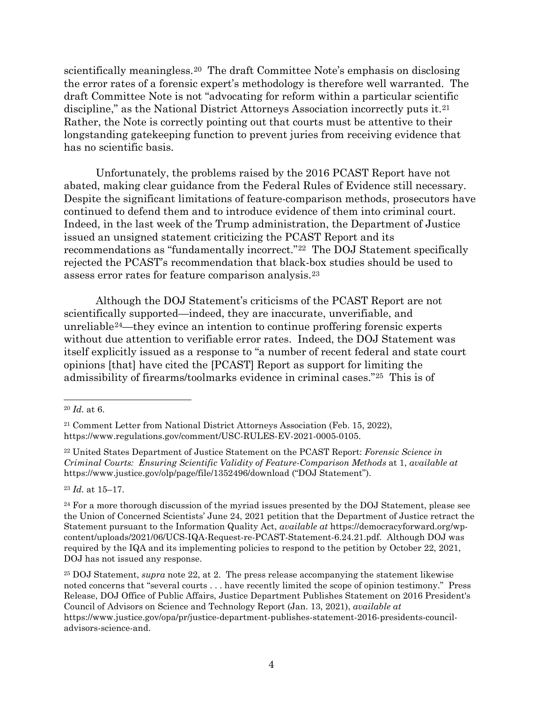scientifically meaningless.[20](#page-3-0) The draft Committee Note's emphasis on disclosing the error rates of a forensic expert's methodology is therefore well warranted. The draft Committee Note is not "advocating for reform within a particular scientific discipline," as the National District Attorneys Association incorrectly puts it.[21](#page-3-1) Rather, the Note is correctly pointing out that courts must be attentive to their longstanding gatekeeping function to prevent juries from receiving evidence that has no scientific basis.

Unfortunately, the problems raised by the 2016 PCAST Report have not abated, making clear guidance from the Federal Rules of Evidence still necessary. Despite the significant limitations of feature-comparison methods, prosecutors have continued to defend them and to introduce evidence of them into criminal court. Indeed, in the last week of the Trump administration, the Department of Justice issued an unsigned statement criticizing the PCAST Report and its recommendations as "fundamentally incorrect."[22](#page-3-2) The DOJ Statement specifically rejected the PCAST's recommendation that black-box studies should be used to assess error rates for feature comparison analysis.[23](#page-3-3)

Although the DOJ Statement's criticisms of the PCAST Report are not scientifically supported—indeed, they are inaccurate, unverifiable, and unreliable[24](#page-3-4)—they evince an intention to continue proffering forensic experts without due attention to verifiable error rates. Indeed, the DOJ Statement was itself explicitly issued as a response to "a number of recent federal and state court opinions [that] have cited the [PCAST] Report as support for limiting the admissibility of firearms/toolmarks evidence in criminal cases."[25](#page-3-5) This is of

<span id="page-3-3"></span><sup>23</sup> *Id.* at 15–17.

<span id="page-3-0"></span><sup>20</sup> *Id.* at 6.

<span id="page-3-1"></span><sup>21</sup> Comment Letter from National District Attorneys Association (Feb. 15, 2022), https://www.regulations.gov/comment/USC-RULES-EV-2021-0005-0105.

<span id="page-3-2"></span><sup>22</sup> United States Department of Justice Statement on the PCAST Report: *Forensic Science in Criminal Courts: Ensuring Scientific Validity of Feature-Comparison Methods* at 1, *available at* https://www.justice.gov/olp/page/file/1352496/download ("DOJ Statement").

<span id="page-3-4"></span><sup>&</sup>lt;sup>24</sup> For a more thorough discussion of the myriad issues presented by the DOJ Statement, please see the Union of Concerned Scientists' June 24, 2021 petition that the Department of Justice retract the Statement pursuant to the Information Quality Act, *available at* https://democracyforward.org/wpcontent/uploads/2021/06/UCS-IQA-Request-re-PCAST-Statement-6.24.21.pdf. Although DOJ was required by the IQA and its implementing policies to respond to the petition by October 22, 2021, DOJ has not issued any response.

<span id="page-3-5"></span><sup>25</sup> DOJ Statement, *supra* note 22, at 2. The press release accompanying the statement likewise noted concerns that "several courts . . . have recently limited the scope of opinion testimony." Press Release, DOJ Office of Public Affairs, Justice Department Publishes Statement on 2016 President's Council of Advisors on Science and Technology Report (Jan. 13, 2021), *available at* https://www.justice.gov/opa/pr/justice-department-publishes-statement-2016-presidents-counciladvisors-science-and.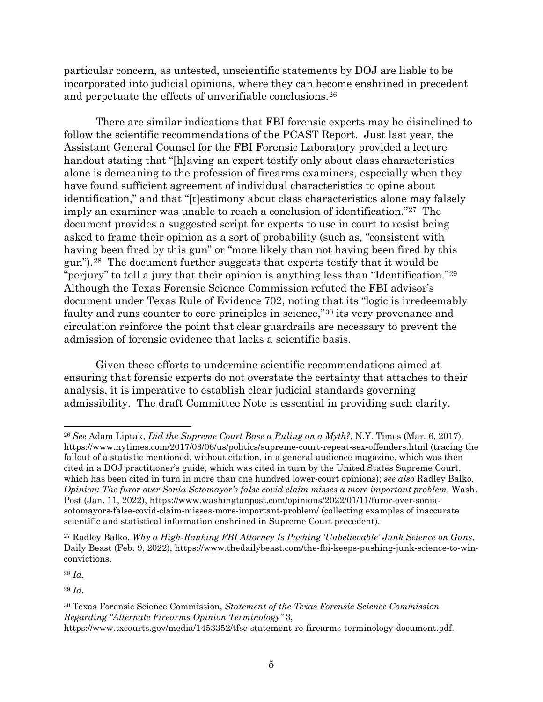particular concern, as untested, unscientific statements by DOJ are liable to be incorporated into judicial opinions, where they can become enshrined in precedent and perpetuate the effects of unverifiable conclusions.[26](#page-4-0)

There are similar indications that FBI forensic experts may be disinclined to follow the scientific recommendations of the PCAST Report. Just last year, the Assistant General Counsel for the FBI Forensic Laboratory provided a lecture handout stating that "[h]aving an expert testify only about class characteristics alone is demeaning to the profession of firearms examiners, especially when they have found sufficient agreement of individual characteristics to opine about identification," and that "[t]estimony about class characteristics alone may falsely imply an examiner was unable to reach a conclusion of identification."[27](#page-4-1) The document provides a suggested script for experts to use in court to resist being asked to frame their opinion as a sort of probability (such as, "consistent with having been fired by this gun" or "more likely than not having been fired by this gun").[28](#page-4-2) The document further suggests that experts testify that it would be "perjury" to tell a jury that their opinion is anything less than "Identification."[29](#page-4-3)  Although the Texas Forensic Science Commission refuted the FBI advisor's document under Texas Rule of Evidence 702, noting that its "logic is irredeemably faulty and runs counter to core principles in science,"[30](#page-4-4) its very provenance and circulation reinforce the point that clear guardrails are necessary to prevent the admission of forensic evidence that lacks a scientific basis.

Given these efforts to undermine scientific recommendations aimed at ensuring that forensic experts do not overstate the certainty that attaches to their analysis, it is imperative to establish clear judicial standards governing admissibility. The draft Committee Note is essential in providing such clarity.

<span id="page-4-2"></span><sup>28</sup> *Id.*

<span id="page-4-3"></span><sup>29</sup> *Id.*

<span id="page-4-0"></span><sup>26</sup> *See* Adam Liptak, *Did the Supreme Court Base a Ruling on a Myth?*, N.Y. Times (Mar. 6, 2017), https://www.nytimes.com/2017/03/06/us/politics/supreme-court-repeat-sex-offenders.html (tracing the fallout of a statistic mentioned, without citation, in a general audience magazine, which was then cited in a DOJ practitioner's guide, which was cited in turn by the United States Supreme Court, which has been cited in turn in more than one hundred lower-court opinions); *see also* Radley Balko, *Opinion: The furor over Sonia Sotomayor's false covid claim misses a more important problem*, Wash. Post (Jan. 11, 2022), https://www.washingtonpost.com/opinions/2022/01/11/furor-over-soniasotomayors-false-covid-claim-misses-more-important-problem/ (collecting examples of inaccurate scientific and statistical information enshrined in Supreme Court precedent).

<span id="page-4-1"></span><sup>27</sup> Radley Balko, *Why a High-Ranking FBI Attorney Is Pushing 'Unbelievable' Junk Science on Guns*, Daily Beast (Feb. 9, 2022), https://www.thedailybeast.com/the-fbi-keeps-pushing-junk-science-to-winconvictions.

<span id="page-4-4"></span><sup>30</sup> Texas Forensic Science Commission, *Statement of the Texas Forensic Science Commission Regarding "Alternate Firearms Opinion Terminology"* 3,

https://www.txcourts.gov/media/1453352/tfsc-statement-re-firearms-terminology-document.pdf.